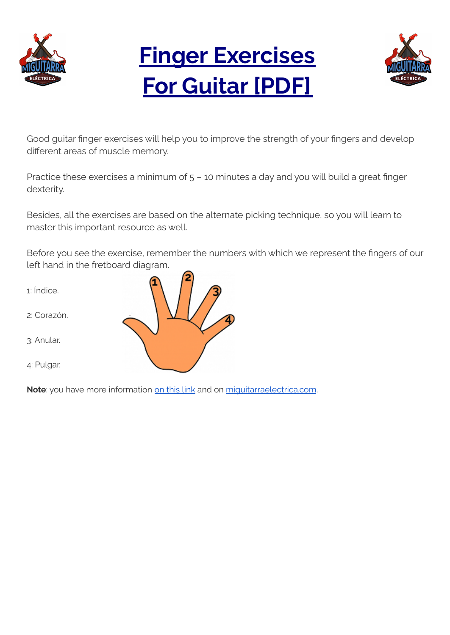

# **Finger Exercises For Guitar [PDF]**



Good guitar finger exercises will help you to improve the strength of your fingers and develop different areas of muscle memory.

Practice these exercises a minimum of 5 – 10 minutes a day and you will build a great finger dexterity.

Besides, all the exercises are based on the alternate picking technique, so you will learn to master this important resource as well.

Before you see the exercise, remember the numbers with which we represent the fingers of our left hand in the fretboard diagram.

- 1: Índice.
- 2: Corazón.
- 3: Anular.
- 4: Pulgar.



Note: you have more information on [this](https://miguitarraelectrica.com/en/finger-exercise-for-guitar-players/) link and on [miguitarraelectrica.com](https://miguitarraelectrica.com/en/).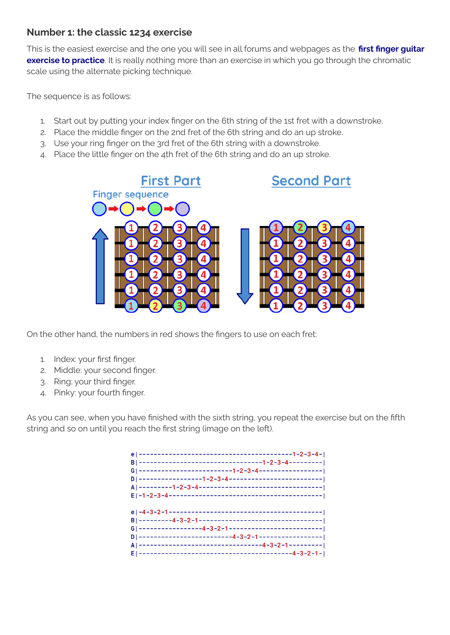#### **Number 1: the classic 1234 exercise**

This is the easiest exercise and the one you will see in all forums and webpages as the **first finger guitar exercise to practice**. It is really nothing more than an exercise in which you go through the chromatic scale using the alternate picking technique.

The sequence is as follows:

- 1. Start out by putting your index finger on the 6th string of the 1st fret with a downstroke.
- 2. Place the middle finger on the 2nd fret of the 6th string and do an up stroke.
- 3. Use your ring finger on the 3rd fret of the 6th string with a downstroke.
- 4. Place the little finger on the 4th fret of the 6th string and do an up stroke.



On the other hand, the numbers in red shows the fingers to use on each fret:

- 1. Index: your first finger.
- 2. Middle: your second finger.
- 3. Ring: your third finger.
- 4. Pinky: your fourth finger.

As you can see, when you have finished with the sixth string, you repeat the exercise but on the fifth string and so on until you reach the first string (image on the left).

| B ---------------------------------1-2-3-4--------- |  |
|-----------------------------------------------------|--|
| A --------------------------------4-3-2-1---------  |  |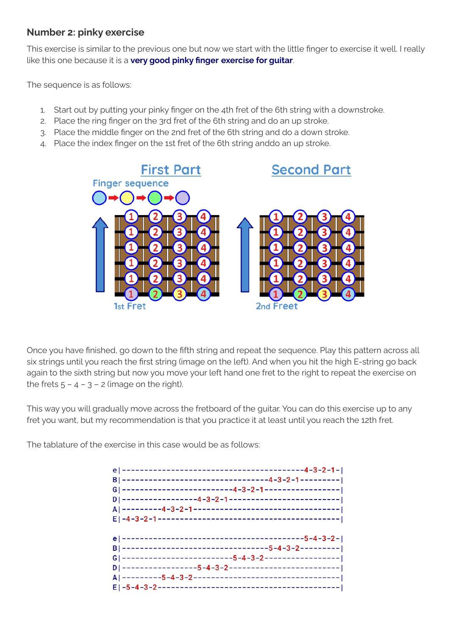#### **Number 2: pinky exercise**

This exercise is similar to the previous one but now we start with the little finger to exercise it well. I really like this one because it is a **very good pinky finger exercise for guitar**.

The sequence is as follows:

- 1. Start out by putting your pinky finger on the 4th fret of the 6th string with a downstroke.
- 2. Place the ring finger on the 3rd fret of the 6th string and do an up stroke.
- 3. Place the middle finger on the 2nd fret of the 6th string and do a down stroke.
- 4. Place the index finger on the 1st fret of the 6th string anddo an up stroke.



Once you have finished, go down to the fifth string and repeat the sequence. Play this pattern across all six strings until you reach the first string (image on the left). And when you hit the high E-string go back again to the sixth string but now you move your left hand one fret to the right to repeat the exercise on the frets  $5 - 4 - 3 - 2$  (image on the right).

This way you will gradually move across the fretboard of the guitar. You can do this exercise up to any fret you want, but my recommendation is that you practice it at least until you reach the 12th fret.

The tablature of the exercise in this case would be as follows:

| B ---------------------------------5-4-3-2--------- |
|-----------------------------------------------------|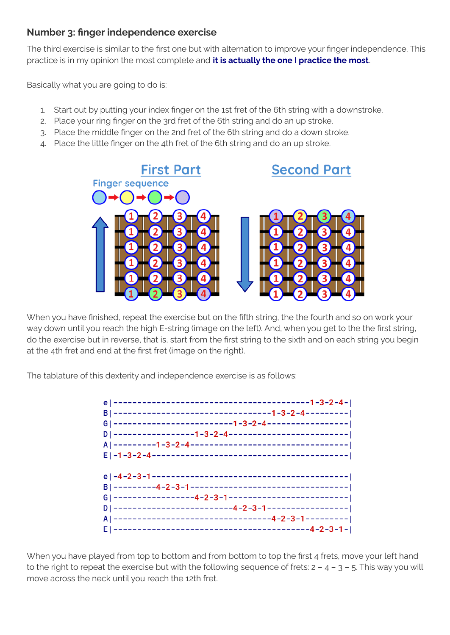### **Number 3: finger independence exercise**

The third exercise is similar to the first one but with alternation to improve your finger independence. This practice is in my opinion the most complete and **it is actually the one I practice the most**.

Basically what you are going to do is:

- 1. Start out by putting your index finger on the 1st fret of the 6th string with a downstroke.
- 2. Place your ring finger on the 3rd fret of the 6th string and do an up stroke.
- 3. Place the middle finger on the 2nd fret of the 6th string and do a down stroke.
- 4. Place the little finger on the 4th fret of the 6th string and do an up stroke.



When you have finished, repeat the exercise but on the fifth string, the the fourth and so on work your way down until you reach the high E-string (image on the left). And, when you get to the the first string, do the exercise but in reverse, that is, start from the first string to the sixth and on each string you begin at the 4th fret and end at the first fret (image on the right).

The tablature of this dexterity and independence exercise is as follows:



When you have played from top to bottom and from bottom to top the first 4 frets, move your left hand to the right to repeat the exercise but with the following sequence of frets:  $2 - 4 - 3 - 5$ . This way you will move across the neck until you reach the 12th fret.